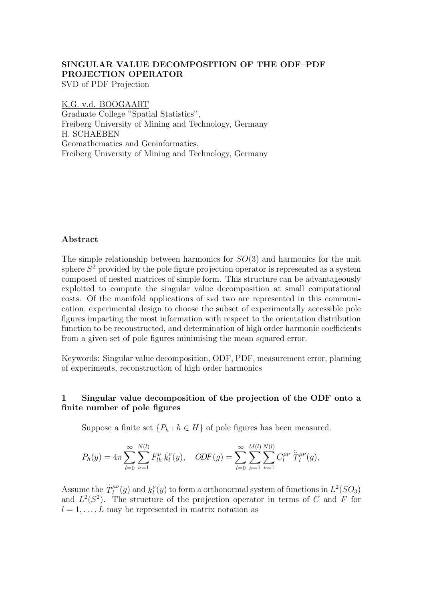# SINGULAR VALUE DECOMPOSITION OF THE ODF–PDF PROJECTION OPERATOR

SVD of PDF Projection

K.G. v.d. BOOGAART Graduate College "Spatial Statistics", Freiberg University of Mining and Technology, Germany H. SCHAEBEN Geomathematics and Geoinformatics, Freiberg University of Mining and Technology, Germany

# Abstract

The simple relationship between harmonics for  $SO(3)$  and harmonics for the unit sphere  $S^2$  provided by the pole figure projection operator is represented as a system composed of nested matrices of simple form. This structure can be advantageously exploited to compute the singular value decomposition at small computational costs. Of the manifold applications of svd two are represented in this communication, experimental design to choose the subset of experimentally accessible pole figures imparting the most information with respect to the orientation distribution function to be reconstructed, and determination of high order harmonic coefficients from a given set of pole figures minimising the mean squared error.

Keywords: Singular value decomposition, ODF, PDF, measurement error, planning of experiments, reconstruction of high order harmonics

# 1 Singular value decomposition of the projection of the ODF onto a finite number of pole figures

Suppose a finite set  $\{P_h : h \in H\}$  of pole figures has been measured.

$$
P_h(y) = 4\pi \sum_{l=0}^{\infty} \sum_{\nu=1}^{N(l)} F_{lh}^{\nu} \dot{k}_l^{\nu}(y), \quad ODF(g) = \sum_{l=0}^{\infty} \sum_{\mu=1}^{M(l)} \sum_{\nu=1}^{N(l)} C_l^{\mu\nu} \ddot{T}_l^{\mu\nu}(g),
$$

Assume the  $\ddot{\tilde{T}}_l^{\mu\nu}$  $l_l^{\mu\nu}(g)$  and  $k_l^{\nu}(y)$  to form a orthonormal system of functions in  $L^2(SO_3)$ and  $L^2(S^2)$ . The structure of the projection operator in terms of C and F for  $l = 1, \ldots, L$  may be represented in matrix notation as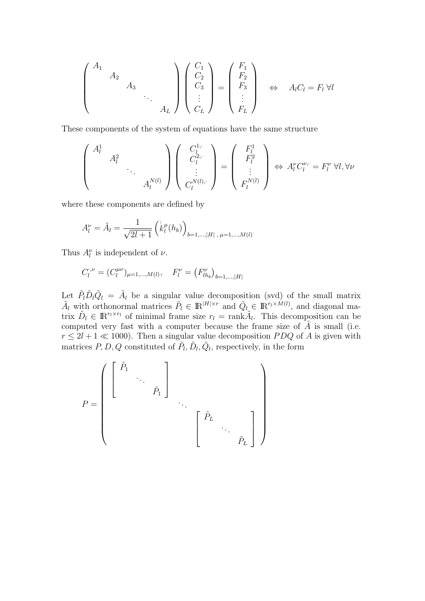$$
\begin{pmatrix}\nA_1 & & & & \\
 & A_2 & & & \\
 & & & \ddots & \\
 & & & & A_L\n\end{pmatrix}\n\begin{pmatrix}\nC_1 \\
C_2 \\
C_3 \\
\vdots \\
C_L\n\end{pmatrix}\n=\n\begin{pmatrix}\nF_1 \\
F_2 \\
F_3 \\
\vdots \\
F_L\n\end{pmatrix}\n\Rightarrow A_l C_l = F_l \,\forall l
$$

These components of the system of equations have the same structure

$$
\begin{pmatrix}\nA_l^1 & & & \\
 & A_l^2 & & \\
 & & \ddots & \\
 & & & A_l^{N(l)}\n\end{pmatrix}\n\begin{pmatrix}\nC_l^{1, \cdot} \\
C_l^{2, \cdot} \\
\vdots \\
C_l^{N(l), \cdot}\n\end{pmatrix}\n=\n\begin{pmatrix}\nF_l^1 \\
F_l^2 \\
\vdots \\
F_l^{N(l)}\n\end{pmatrix}\n\Leftrightarrow A_l^{\nu} C_l^{\nu, \cdot} = F_l^{\nu} \,\forall l, \forall \nu
$$

where these components are defined by

$$
A_l^{\nu} = \tilde{A}_l = \frac{1}{\sqrt{2l+1}} \left( \dot{k}_l^{\mu}(h_b) \right)_{b=1,\dots,|H|, \mu=1,\dots,M(l)}
$$

Thus  $A_l^{\nu}$  is independent of  $\nu$ .

$$
C_l^{.,\nu} = (C_l^{\mu\nu})_{\mu=1,\dots,M(l)}, \quad F_l^{\nu} = (F_{lh_b}^{\nu})_{b=1,\dots,|H|}
$$

Let  $\tilde{P}_l \tilde{D}_l \tilde{Q}_l = \tilde{A}_l$  be a singular value decomposition (svd) of the small matrix  $\tilde{A}_l$  with orthonormal matrices  $\tilde{P}_l \in \mathbb{R}^{|H| \times r}$  and  $\tilde{Q}_l \in \mathbb{R}^{r_l \times \tilde{M}(l)}$ , and diagonal matrix  $\tilde{D}_l \in \mathbb{R}^{r_l \times r_l}$  of minimal frame size  $r_l = \text{rank}\tilde{A}_l$ . This decomposition can be computed very fast with a computer because the frame size of  $\tilde{A}$  is small (i.e.  $r \leq 2l + 1 \ll 1000$ . Then a singular value decomposition PDQ of A is given with matrices  $P, D, Q$  constituted of  $\tilde{P}_l, \tilde{D}_l, \tilde{Q}_l$ , respectively, in the form

$$
P = \left( \begin{bmatrix} \tilde{P}_1 & & & \\ & \ddots & & \\ & & \tilde{P}_1 \end{bmatrix} \right) \qquad \qquad \cdots \qquad \qquad \left[ \begin{bmatrix} \tilde{P}_L & & & \\ & \ddots & & \\ & & \tilde{P}_L \end{bmatrix} \right)
$$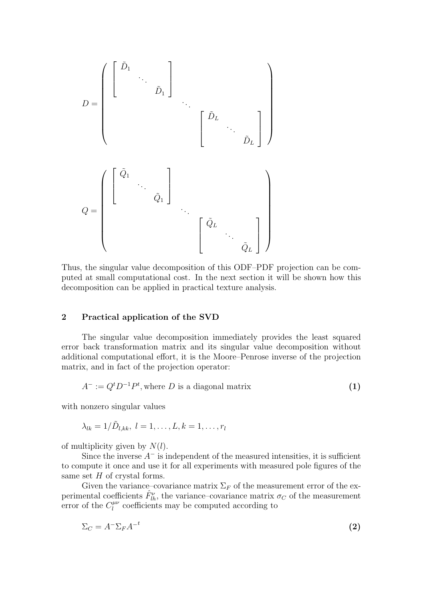$$
D = \begin{pmatrix} \begin{bmatrix} \tilde{D}_1 & & & & \\ & \ddots & & & \\ & & \tilde{D}_1 & \end{bmatrix} & & & & \\ & & & \begin{bmatrix} \tilde{D}_L & & & \\ & \ddots & & \\ & & \tilde{D}_L \end{bmatrix} \end{pmatrix}
$$

$$
Q = \begin{pmatrix} \begin{bmatrix} \tilde{Q}_1 & & & \\ & \ddots & \\ & & \tilde{Q}_1 \end{bmatrix} & & & \\ & & \ddots & \\ & & & \begin{bmatrix} \tilde{Q}_L & & \\ & & \ddots & \\ & & & \tilde{Q}_L \end{bmatrix} \end{pmatrix}
$$

Thus, the singular value decomposition of this ODF–PDF projection can be computed at small computational cost. In the next section it will be shown how this decomposition can be applied in practical texture analysis.

# 2 Practical application of the SVD

The singular value decomposition immediately provides the least squared error back transformation matrix and its singular value decomposition without additional computational effort, it is the Moore–Penrose inverse of the projection matrix, and in fact of the projection operator:

$$
A^- := Q^t D^{-1} P^t, \text{where } D \text{ is a diagonal matrix} \tag{1}
$$

with nonzero singular values

$$
\lambda_{lk}=1/D_{l,kk}, l=1,\ldots,L, k=1,\ldots,r_l
$$

of multiplicity given by  $N(l)$ .

Since the inverse  $A^-$  is independent of the measured intensities, it is sufficient to compute it once and use it for all experiments with measured pole figures of the same set H of crystal forms.

Given the variance–covariance matrix  $\Sigma_F$  of the measurement error of the experimental coefficients  $\hat{F}_{lh}^{\nu}$ , the variance–covariance matrix  $\sigma_C$  of the measurement error of the  $C_l^{\mu\nu}$  $\ell_l^{\mu\nu}$  coefficients may be computed according to

$$
\Sigma_C = A^- \Sigma_F A^{-t} \tag{2}
$$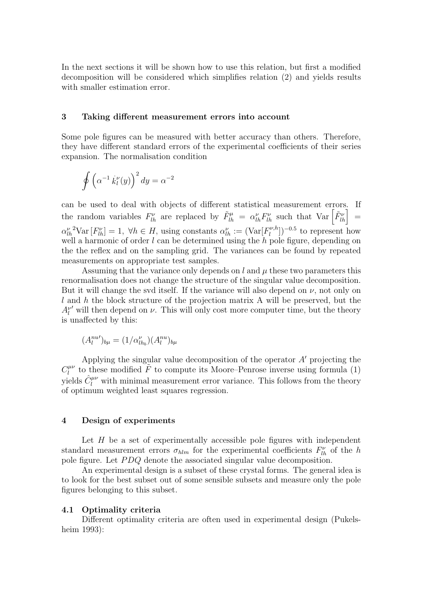In the next sections it will be shown how to use this relation, but first a modified decomposition will be considered which simplifies relation (2) and yields results with smaller estimation error.

# 3 Taking different measurement errors into account

Some pole figures can be measured with better accuracy than others. Therefore, they have different standard errors of the experimental coefficients of their series expansion. The normalisation condition

$$
\oint \left(\alpha^{-1} \dot{k}_l^{\nu}(y)\right)^2 dy = \alpha^{-2}
$$

can be used to deal with objects of different statistical measurement errors. If the random variables  $F_{lh}^{\nu}$  are replaced by  $\tilde{F}_{lh}^{\mu} = \alpha_{lh}^{\nu} F_{lh}^{\nu}$  such that  $Var\left[\tilde{F}_{lh}^{\nu}\right] =$  $\alpha_{lh}^{\nu}$ <sup>2</sup>Var  $[F_{lh}^{\nu}] = 1, \forall h \in H$ , using constants  $\alpha_{lh}^{\nu} := (\text{Var}[F_l^{\nu, h}]$  $\binom{n}{l}$ <sup> $\binom{n}{l}$ </sup> to represent how well a harmonic of order  $l$  can be determined using the  $h$  pole figure, depending on the the reflex and on the sampling grid. The variances can be found by repeated measurements on appropriate test samples.

Assuming that the variance only depends on  $l$  and  $\mu$  these two parameters this renormalisation does not change the structure of the singular value decomposition. But it will change the svd itself. If the variance will also depend on  $\nu$ , not only on  $l$  and  $h$  the block structure of the projection matrix A will be preserved, but the  $A_l^{\nu}$  will then depend on  $\nu$ . This will only cost more computer time, but the theory is unaffected by this:

$$
(A_l^{nu})_{b\mu} = (1/\alpha_{lh_b}^\nu)(A_l^{nu})_{b\mu}
$$

Applying the singular value decomposition of the operator  $A'$  projecting the  $C^{\mu\nu}_l$  $\hat{l}^{\mu\nu}_{l}$  to these modified  $\tilde{F}$  to compute its Moore–Penrose inverse using formula (1) yields  $\hat{C}^{\mu\nu}_l$  with minimal measurement error variance. This follows from the theory of optimum weighted least squares regression.

#### 4 Design of experiments

Let  $H$  be a set of experimentally accessible pole figures with independent standard measurement errors  $\sigma_{h l m}$  for the experimental coefficients  $F_{l h}^{\nu}$  of the h pole figure. Let PDQ denote the associated singular value decomposition.

An experimental design is a subset of these crystal forms. The general idea is to look for the best subset out of some sensible subsets and measure only the pole figures belonging to this subset.

#### 4.1 Optimality criteria

Different optimality criteria are often used in experimental design (Pukelsheim 1993):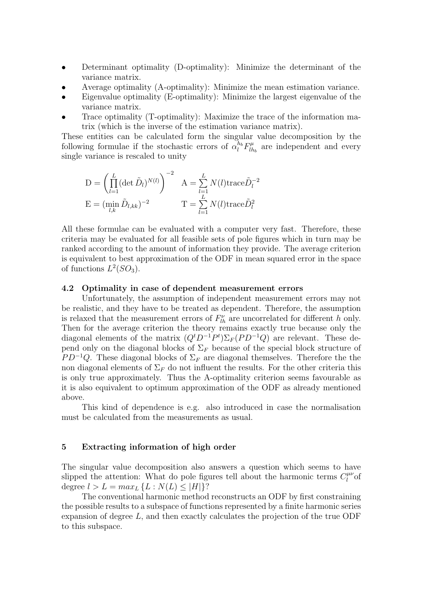- Determinant optimality (D-optimality): Minimize the determinant of the variance matrix.
- Average optimality (A-optimality): Minimize the mean estimation variance.
- Eigenvalue optimality (E-optimality): Minimize the largest eigenvalue of the variance matrix.
- Trace optimality (T-optimality): Maximize the trace of the information matrix (which is the inverse of the estimation variance matrix).

These entities can be calculated form the singular value decomposition by the following formulae if the stochastic errors of  $\alpha_l^{h_b} F_{lh}^{\mu}$  $\eta_{h_b}^{\mu}$  are independent and every single variance is rescaled to unity

$$
D = \left(\prod_{l=1}^{L} (\det \tilde{D}_l)^{N(l)}\right)^{-2} \quad A = \sum_{l=1}^{L} N(l) \text{trace} \tilde{D}_l^{-2}
$$

$$
E = (\min_{l,k} \tilde{D}_{l,kk})^{-2} \qquad T = \sum_{l=1}^{L} N(l) \text{trace} \tilde{D}_l^2
$$

All these formulae can be evaluated with a computer very fast. Therefore, these criteria may be evaluated for all feasible sets of pole figures which in turn may be ranked according to the amount of information they provide. The average criterion is equivalent to best approximation of the ODF in mean squared error in the space of functions  $L^2(SO_3)$ .

# 4.2 Optimality in case of dependent measurement errors

Unfortunately, the assumption of independent measurement errors may not be realistic, and they have to be treated as dependent. Therefore, the assumption is relaxed that the measurement errors of  $F'_{lh}$  are uncorrelated for different h only. Then for the average criterion the theory remains exactly true because only the diagonal elements of the matrix  $(Q<sup>t</sup>D<sup>-1</sup>P<sup>t</sup>)\Sigma<sub>F</sub>(PD<sup>-1</sup>Q)$  are relevant. These depend only on the diagonal blocks of  $\Sigma_F$  because of the special block structure of  $PD^{-1}Q$ . These diagonal blocks of  $\Sigma_F$  are diagonal themselves. Therefore the the non diagonal elements of  $\Sigma_F$  do not influent the results. For the other criteria this is only true approximately. Thus the A-optimality criterion seems favourable as it is also equivalent to optimum approximation of the ODF as already mentioned above.

This kind of dependence is e.g. also introduced in case the normalisation must be calculated from the measurements as usual.

# 5 Extracting information of high order

The singular value decomposition also answers a question which seems to have slipped the attention: What do pole figures tell about the harmonic terms  $C_l^{\mu\nu}$  $\int_l^{\mu\nu}$ of degree  $l > L = max_L \{L : N(L) \leq |H|\}$ ?

The conventional harmonic method reconstructs an ODF by first constraining the possible results to a subspace of functions represented by a finite harmonic series expansion of degree L, and then exactly calculates the projection of the true ODF to this subspace.